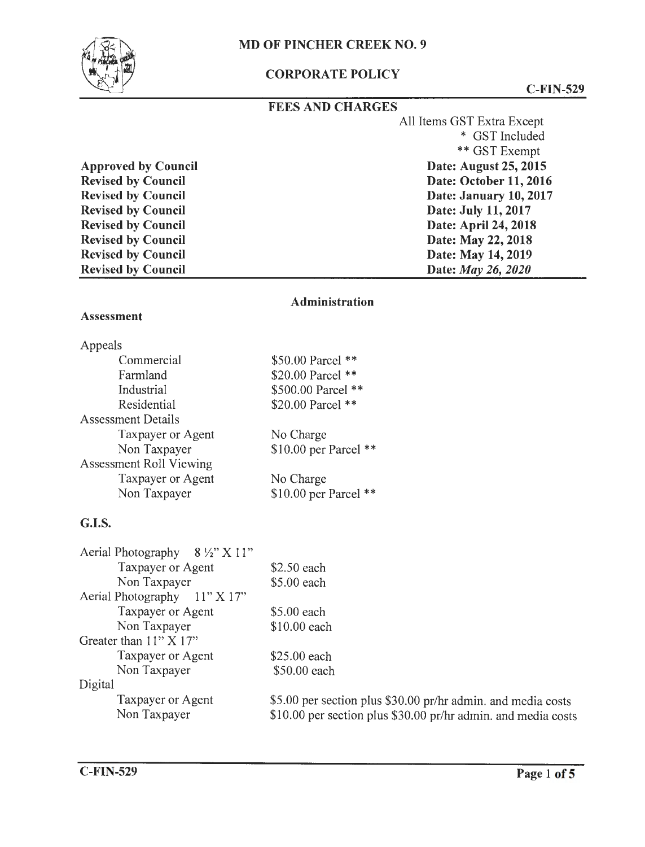## MD OF PINCHER CREEK NO. 9



# CORPORATE POLICY

C-FIN-529

| <b>FEES AND CHARGES</b>    |                            |
|----------------------------|----------------------------|
|                            | All Items GST Extra Except |
|                            | * GST Included             |
|                            | ** GST Exempt              |
| <b>Approved by Council</b> | Date: August 25, 2015      |
| <b>Revised by Council</b>  | Date: October 11, 2016     |
| <b>Revised by Council</b>  | Date: January 10, 2017     |
| <b>Revised by Council</b>  | Date: July 11, 2017        |
| <b>Revised by Council</b>  | Date: April 24, 2018       |
| <b>Revised by Council</b>  | Date: May 22, 2018         |
| <b>Revised by Council</b>  | Date: May 14, 2019         |
| <b>Revised by Council</b>  | Date: <i>May 26, 2020</i>  |

#### **Administration**

#### **Assessment**

| Appeals                        |                          |
|--------------------------------|--------------------------|
| Commercial                     | \$50.00 Parcel **        |
| Farmland                       | \$20.00 Parcel **        |
| Industrial                     | \$500.00 Parcel **       |
| Residential                    | \$20.00 Parcel **        |
| <b>Assessment Details</b>      |                          |
| <b>Taxpayer or Agent</b>       | No Charge                |
| Non Taxpayer                   | $$10.00$ per Parcel **   |
| <b>Assessment Roll Viewing</b> |                          |
| Taxpayer or Agent              | No Charge                |
| Non Taxpayer                   | \$10.00 per Parcel<br>** |

## **G.I.S.**

| Aerial Photography $8\frac{1}{2}$ X 11" |                                                               |
|-----------------------------------------|---------------------------------------------------------------|
| Taxpayer or Agent                       | \$2.50 each                                                   |
| Non Taxpayer                            | \$5.00 each                                                   |
| Aerial Photography 11" X 17"            |                                                               |
| Taxpayer or Agent                       | \$5.00 each                                                   |
| Non Taxpayer                            | $$10.00$ each                                                 |
| Greater than $11" X 17"$                |                                                               |
| Taxpayer or Agent                       | \$25.00 each                                                  |
| Non Taxpayer                            | \$50.00 each                                                  |
| Digital                                 |                                                               |
| Taxpayer or Agent                       | \$5.00 per section plus \$30.00 pr/hr admin. and media costs  |
| Non Taxpayer                            | \$10.00 per section plus \$30.00 pr/hr admin. and media costs |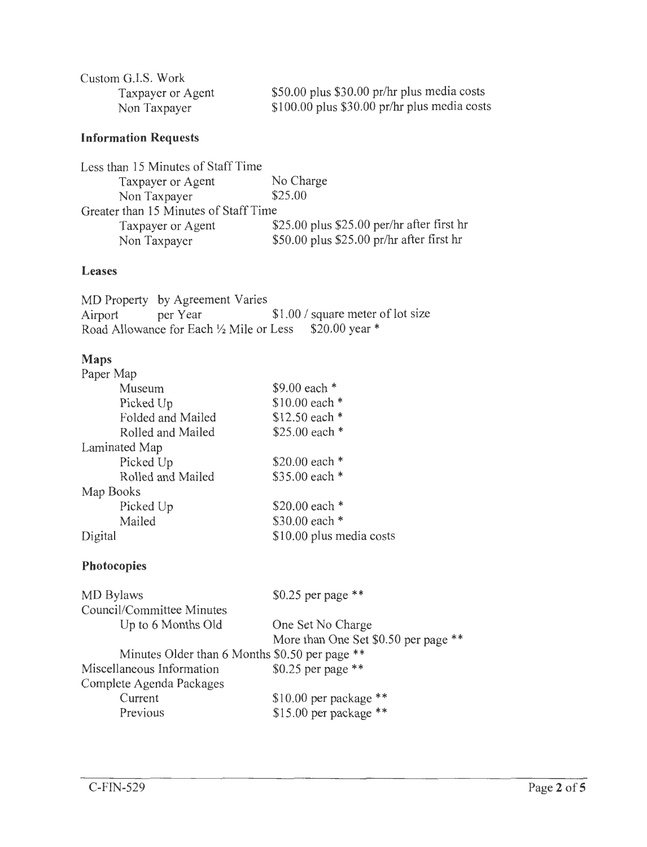| Custom G.I.S. Work |                                               |
|--------------------|-----------------------------------------------|
| Taxpayer or Agent  | \$50.00 plus \$30.00 pr/hr plus media costs   |
| Non Taxpayer       | $$100.00$ plus \$30.00 pr/hr plus media costs |

### **Information Requests**

| Less than 15 Minutes of Staff Time    |                                             |
|---------------------------------------|---------------------------------------------|
| Taxpayer or Agent                     | No Charge                                   |
| Non Taxpayer                          | \$25.00                                     |
| Greater than 15 Minutes of Staff Time |                                             |
| Taxpayer or Agent                     | $$25.00$ plus \$25.00 per/hr after first hr |
| Non Taxpayer                          | $$50.00$ plus \$25.00 pr/hr after first hr  |

#### **Leases**

MD Property by Agreement Varies<br>Airport per Year per Year  $$1.00 / square$  meter of lot size Road Allowance for Each  $\frac{1}{2}$  Mile or Less \$20.00 year \*

### **Maps**

| Paper Map         |                          |
|-------------------|--------------------------|
| Museum            | \$9.00 each *            |
| Picked Up         | \$10.00 each $*$         |
| Folded and Mailed | \$12.50 each *           |
| Rolled and Mailed | \$25.00 each $*$         |
| Laminated Map     |                          |
| Picked Up         | \$20.00 each *           |
| Rolled and Mailed | \$35.00 each *           |
| Map Books         |                          |
| Picked Up         | \$20.00 each *           |
| Mailed            | \$30.00 each *           |
| Digital           | \$10.00 plus media costs |

### **Photocopies**

| MD Bylaws                                      | \$0.25 per page $**$                 |
|------------------------------------------------|--------------------------------------|
| Council/Committee Minutes                      |                                      |
| Up to 6 Months Old                             | One Set No Charge                    |
|                                                | More than One Set \$0.50 per page ** |
| Minutes Older than 6 Months \$0.50 per page ** |                                      |
| Miscellaneous Information                      | \$0.25 per page $**$                 |
| Complete Agenda Packages                       |                                      |
| Current                                        | $$10.00$ per package **              |
| Previous                                       | \$15.00 per package **               |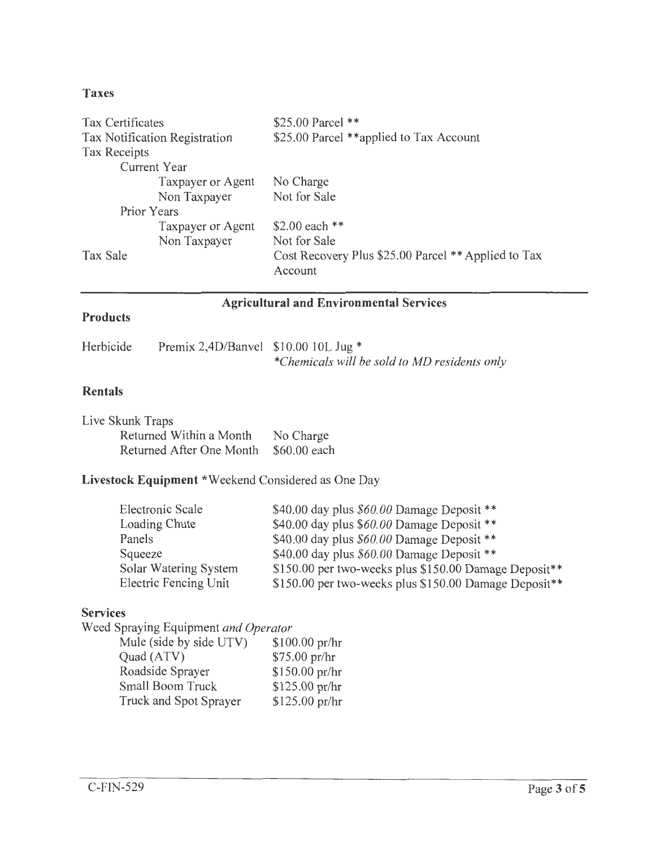### **Taxes**

| Tax Certificates              | \$25.00 Parcel **                                              |
|-------------------------------|----------------------------------------------------------------|
| Tax Notification Registration | \$25.00 Parcel **applied to Tax Account                        |
| <b>Tax Receipts</b>           |                                                                |
| Current Year                  |                                                                |
| Taxpayer or Agent             | No Charge                                                      |
| Non Taxpayer                  | Not for Sale                                                   |
| Prior Years                   |                                                                |
| Taxpayer or Agent             | \$2.00 each $**$                                               |
| Non Taxpayer                  | Not for Sale                                                   |
| Tax Sale                      | Cost Recovery Plus \$25.00 Parcel ** Applied to Tax<br>Account |

# **Agricultural and Environmental Services**

### **Products**

| Herbicide | Premix 2,4D/Banvel $$10.0010L$ Jug * |                                              |
|-----------|--------------------------------------|----------------------------------------------|
|           |                                      | *Chemicals will be sold to MD residents only |

# **Rentals**

| Live Skunk Traps         |              |
|--------------------------|--------------|
| Returned Within a Month  | No Charge    |
| Returned After One Month | \$60.00 each |

# **Livestock Equipment** \*Weekend Considered as One Day

| Electronic Scale      | \$40.00 day plus \$60.00 Damage Deposit **            |
|-----------------------|-------------------------------------------------------|
| Loading Chute         | \$40.00 day plus \$60.00 Damage Deposit **            |
| Panels                | \$40.00 day plus $$60.00$ Damage Deposit **           |
| Squeeze               | \$40.00 day plus $$60.00$ Damage Deposit **           |
| Solar Watering System | \$150.00 per two-weeks plus \$150.00 Damage Deposit** |
| Electric Fencing Unit | \$150.00 per two-weeks plus \$150.00 Damage Deposit** |

### **Services**

Weed Spraying Equipment *and Operator* 

| Mule (side by side UTV) | \$100.00 pr/hr |
|-------------------------|----------------|
| Quad (ATV)              | \$75.00 pr/hr  |
| Roadside Sprayer        | \$150.00 pr/hr |
| <b>Small Boom Truck</b> | \$125.00 pr/hr |
| Truck and Spot Sprayer  | \$125.00 pr/hr |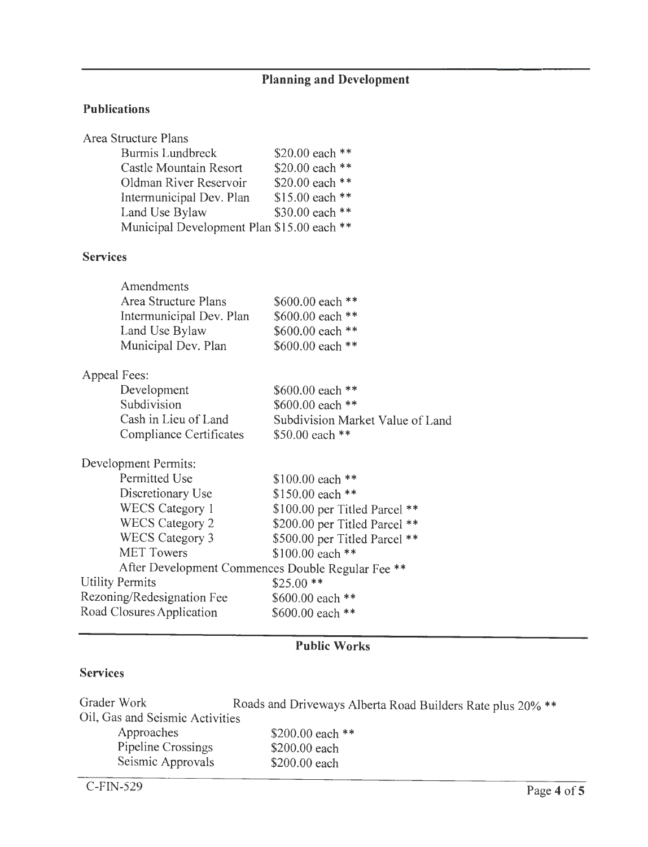# **Planning and Development**

## **Publications**

|                        | Area Structure Plans                              |                                  |
|------------------------|---------------------------------------------------|----------------------------------|
|                        | <b>Burmis Lundbreck</b>                           | \$20.00 each **                  |
|                        | Castle Mountain Resort                            | \$20.00 each **                  |
|                        | Oldman River Reservoir                            | \$20.00 each **                  |
|                        | Intermunicipal Dev. Plan                          | \$15.00 each **                  |
|                        | Land Use Bylaw                                    | \$30.00 each **                  |
|                        | Municipal Development Plan \$15.00 each **        |                                  |
| <b>Services</b>        |                                                   |                                  |
|                        | Amendments                                        |                                  |
|                        | <b>Area Structure Plans</b>                       | \$600.00 each **                 |
|                        | Intermunicipal Dev. Plan                          | \$600.00 each **                 |
|                        | Land Use Bylaw                                    | \$600.00 each **                 |
|                        | Municipal Dev. Plan                               | \$600.00 each **                 |
| Appeal Fees:           |                                                   |                                  |
|                        | Development                                       | \$600.00 each **                 |
|                        | Subdivision                                       | \$600.00 each **                 |
|                        | Cash in Lieu of Land                              | Subdivision Market Value of Land |
|                        | <b>Compliance Certificates</b>                    | \$50.00 each **                  |
|                        | Development Permits:                              |                                  |
|                        | <b>Permitted Use</b>                              | \$100.00 each **                 |
|                        | Discretionary Use                                 | \$150.00 each **                 |
|                        | <b>WECS Category 1</b>                            | \$100.00 per Titled Parcel **    |
|                        | <b>WECS Category 2</b>                            | \$200.00 per Titled Parcel **    |
|                        | <b>WECS Category 3</b>                            | \$500.00 per Titled Parcel **    |
|                        | <b>MET Towers</b>                                 | \$100.00 each **                 |
|                        | After Development Commences Double Regular Fee ** |                                  |
| <b>Utility Permits</b> |                                                   | $$25.00**$                       |
|                        | Rezoning/Redesignation Fee                        | \$600.00 each **                 |
|                        | Road Closures Application                         | \$600.00 each **                 |
|                        |                                                   |                                  |

# **Public Works**

## **Services**

| Grader Work                     | Roads and Driveways Alberta Road Builders Rate plus 20% ** |
|---------------------------------|------------------------------------------------------------|
| Oil, Gas and Seismic Activities |                                                            |
| Approaches                      | \$200.00 each $**$                                         |
| Pipeline Crossings              | \$200,00 each                                              |
| Seismic Approvals               | \$200.00 each                                              |